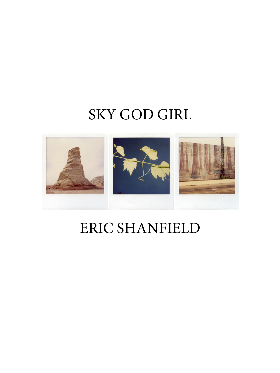

# ERIC SHANFIELD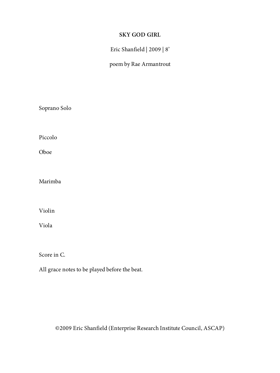Eric Shanfield | 2009 | 8'

## poem by Rae Armantrout

| Soprano Solo |
|--------------|
| Piccolo      |
| Oboe         |
|              |
| Marimba      |
|              |
|              |

Violin

Viola

Score in C.

All grace notes to be played before the beat.

©2009 Eric Shanfield (Enterprise Research Institute Council, ASCAP)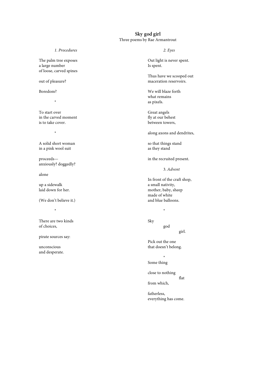#### **Sky god girl** Three poems by Rae Armantrout

#### *1. Procedures*

The palm tree exposes a large number of loose, carved spines

#### out of pleasure?

Boredom?

\*

To start over in the carved moment is to take cover.

\*

A solid short woman in a pink wool suit

proceeds anxiously? doggedly?

alone

up a sidewalk laid down for her.

(We don't believe it.)

There are two kinds of choices,

\*

pirate sources say:

unconscious and desperate.

#### *2. Eyes*

Out light is never spent. Is spent.

Thus have we scooped out maceration reservoirs.

We will blaze forth what remains as pixels.

Great angels fly at our behest between towers,

along axons and dendrites,

so that things stand as they stand

in the recruited present.

3. *Advent*

In front of the craft shop, a small nativity, mother, baby, sheep made of white and blue balloons.

\*

Sky god girl.

Pick out the one that doesn't belong.

\* Some thing

close to nothing flat

from which,

fatherless, everything has come.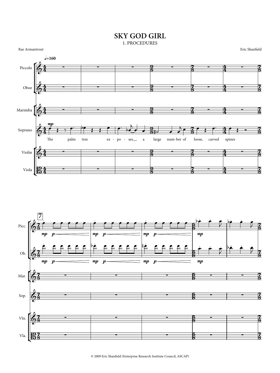1. PROCEDURES





Eric Shanfield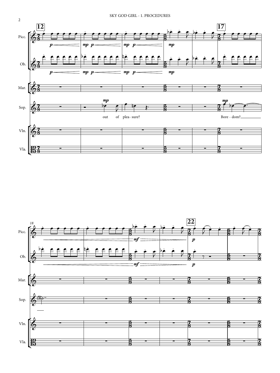

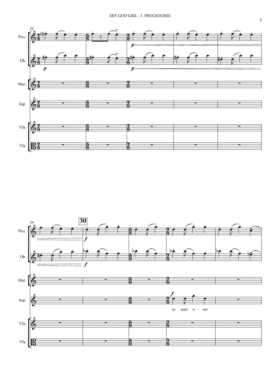

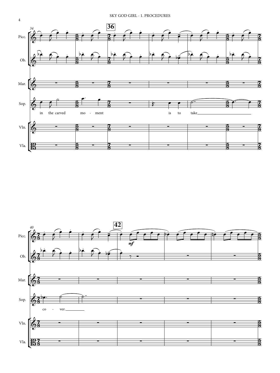

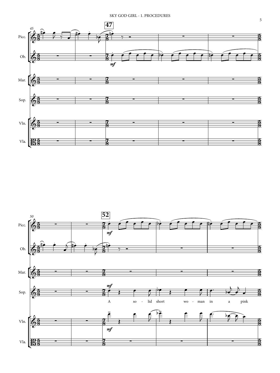

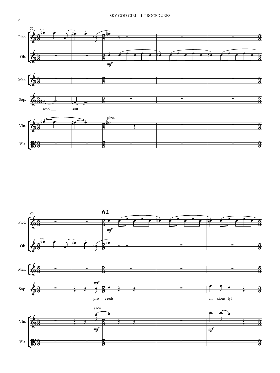

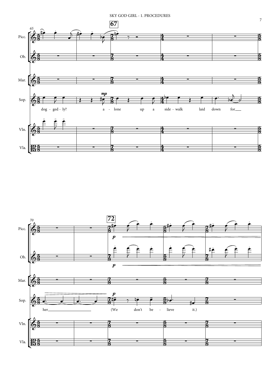SKY GOD GIRL - 1. PROCEDURES



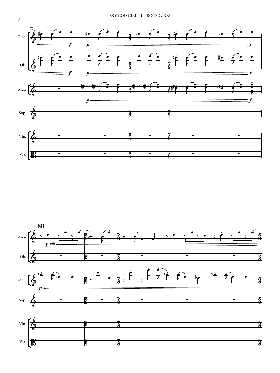

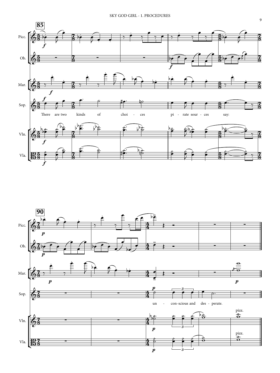

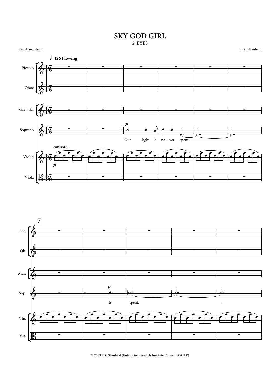2. EYES





Eric Shanfield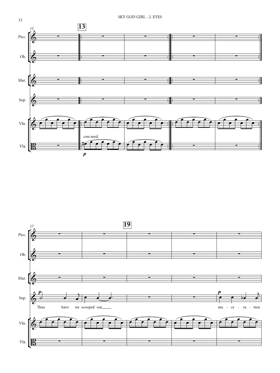

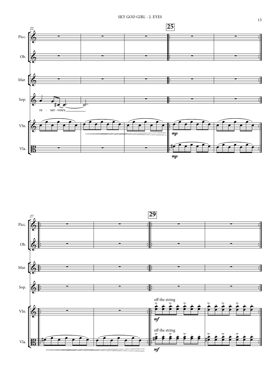

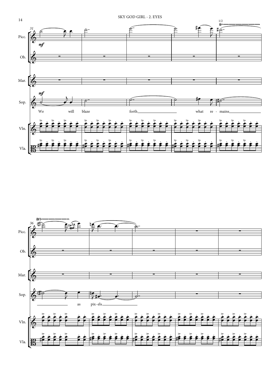

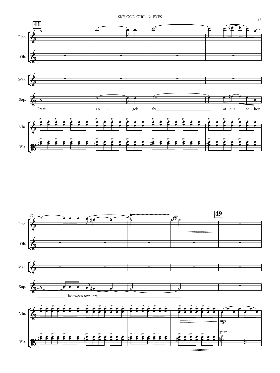

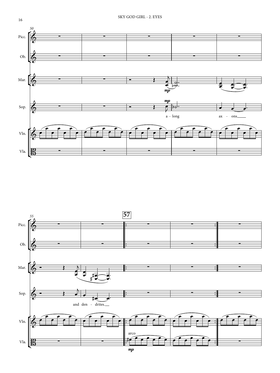



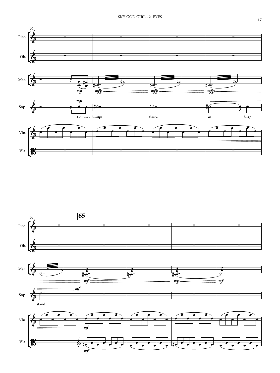

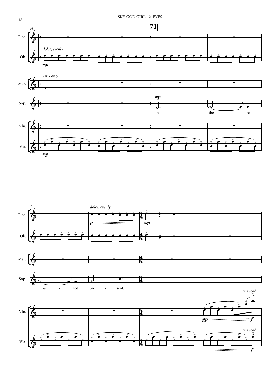

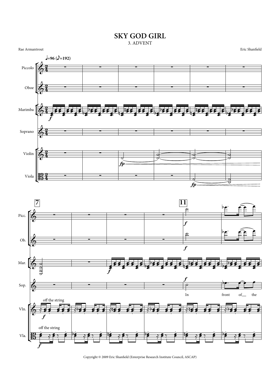### **SKY GOD GIRL** 3. ADVENT



 $\operatorname{Eric}$ <br> Shanfield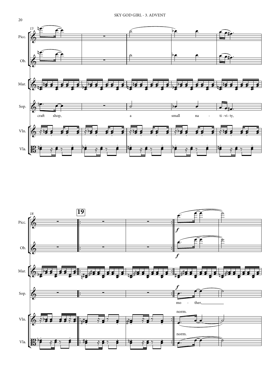

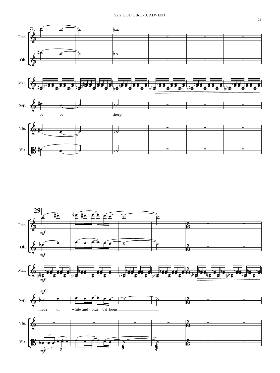

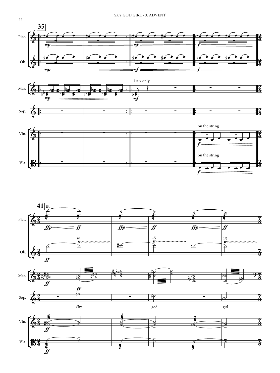

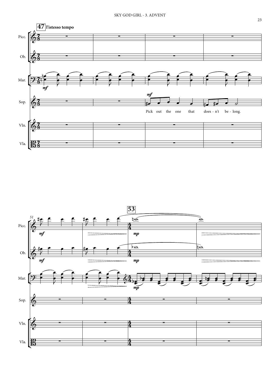#### SKY GOD GIRL - 3. ADVENT



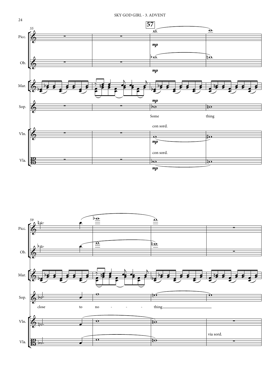

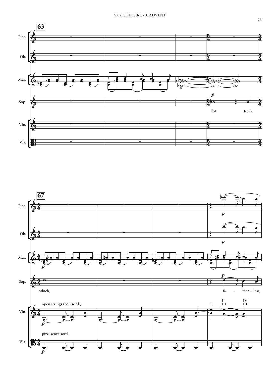#### SKY GOD GIRL - 3. ADVENT